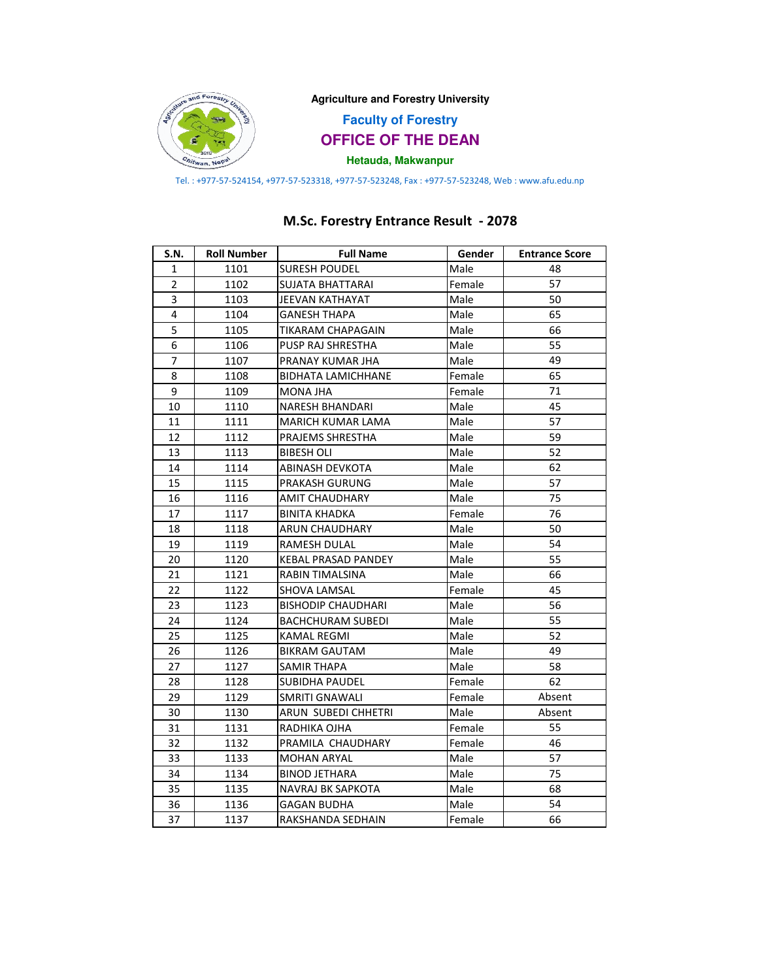

Tel. : +977-57-524154, +977-57-523318, +977-57-523248, Fax : +977-57-523248, Web : www.afu.edu.np

## M.Sc. Forestry Entrance Result - 2078

| S.N.           | <b>Roll Number</b> | <b>Full Name</b>           | Gender | <b>Entrance Score</b> |
|----------------|--------------------|----------------------------|--------|-----------------------|
| 1              | 1101               | <b>SURESH POUDEL</b>       | Male   | 48                    |
| $\overline{2}$ | 1102               | SUJATA BHATTARAI           | Female | 57                    |
| 3              | 1103               | JEEVAN KATHAYAT            | Male   | 50                    |
| 4              | 1104               | <b>GANESH THAPA</b>        | Male   | 65                    |
| 5              | 1105               | TIKARAM CHAPAGAIN          | Male   | 66                    |
| 6              | 1106               | PUSP RAJ SHRESTHA          | Male   | 55                    |
| $\overline{7}$ | 1107               | PRANAY KUMAR JHA           | Male   | 49                    |
| 8              | 1108               | <b>BIDHATA LAMICHHANE</b>  | Female | 65                    |
| 9              | 1109               | MONA JHA                   | Female | 71                    |
| 10             | 1110               | NARESH BHANDARI            | Male   | 45                    |
| 11             | 1111               | <b>MARICH KUMAR LAMA</b>   | Male   | 57                    |
| 12             | 1112               | PRAJEMS SHRESTHA           | Male   | 59                    |
| 13             | 1113               | <b>BIBESH OLI</b>          | Male   | 52                    |
| 14             | 1114               | ABINASH DEVKOTA            | Male   | 62                    |
| 15             | 1115               | PRAKASH GURUNG             | Male   | 57                    |
| 16             | 1116               | <b>AMIT CHAUDHARY</b>      | Male   | 75                    |
| 17             | 1117               | <b>BINITA KHADKA</b>       | Female | 76                    |
| 18             | 1118               | <b>ARUN CHAUDHARY</b>      | Male   | 50                    |
| 19             | 1119               | <b>RAMESH DULAL</b>        | Male   | 54                    |
| 20             | 1120               | <b>KEBAL PRASAD PANDEY</b> | Male   | 55                    |
| 21             | 1121               | RABIN TIMALSINA            | Male   | 66                    |
| 22             | 1122               | SHOVA LAMSAL               | Female | 45                    |
| 23             | 1123               | <b>BISHODIP CHAUDHARI</b>  | Male   | 56                    |
| 24             | 1124               | <b>BACHCHURAM SUBEDI</b>   | Male   | 55                    |
| 25             | 1125               | <b>KAMAL REGMI</b>         | Male   | 52                    |
| 26             | 1126               | <b>BIKRAM GAUTAM</b>       | Male   | 49                    |
| 27             | 1127               | SAMIR THAPA                | Male   | 58                    |
| 28             | 1128               | <b>SUBIDHA PAUDEL</b>      | Female | 62                    |
| 29             | 1129               | SMRITI GNAWALI             | Female | Absent                |
| 30             | 1130               | ARUN SUBEDI CHHETRI        | Male   | Absent                |
| 31             | 1131               | RADHIKA OJHA               | Female | 55                    |
| 32             | 1132               | PRAMILA CHAUDHARY          | Female | 46                    |
| 33             | 1133               | <b>MOHAN ARYAL</b>         | Male   | 57                    |
| 34             | 1134               | <b>BINOD JETHARA</b>       | Male   | 75                    |
| 35             | 1135               | NAVRAJ BK SAPKOTA          | Male   | 68                    |
| 36             | 1136               | <b>GAGAN BUDHA</b>         | Male   | 54                    |
| 37             | 1137               | RAKSHANDA SEDHAIN          | Female | 66                    |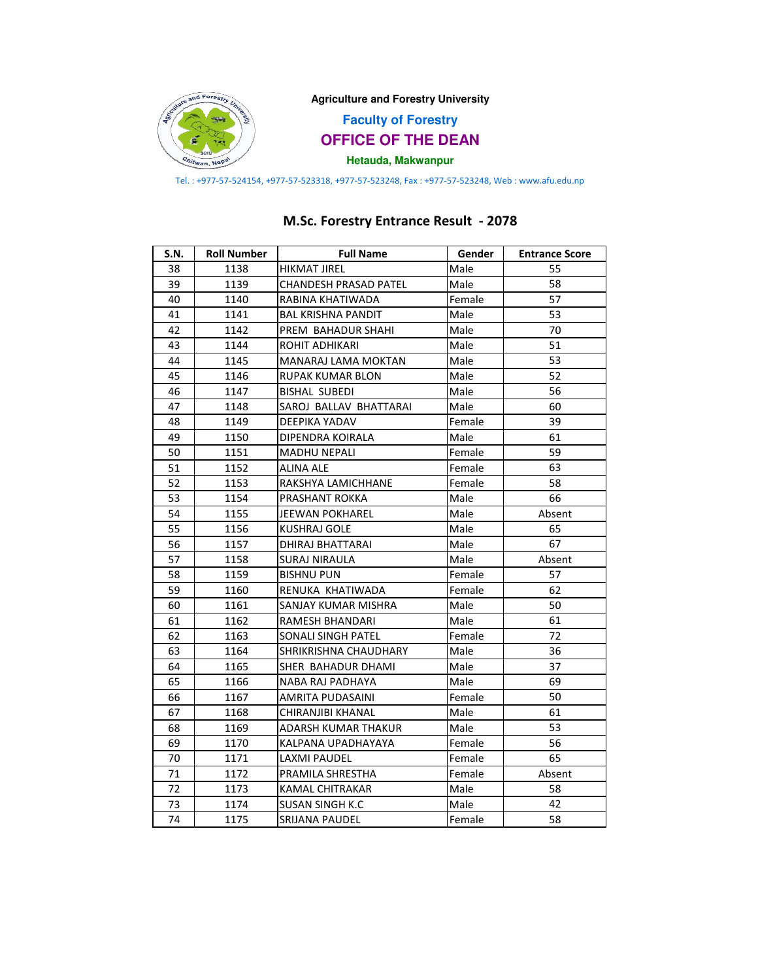

Tel. : +977-57-524154, +977-57-523318, +977-57-523248, Fax : +977-57-523248, Web : www.afu.edu.np

## M.Sc. Forestry Entrance Result - 2078

| S.N. | <b>Roll Number</b> | <b>Full Name</b>             | Gender | <b>Entrance Score</b> |
|------|--------------------|------------------------------|--------|-----------------------|
| 38   | 1138               | HIKMAT JIREL                 | Male   | 55                    |
| 39   | 1139               | <b>CHANDESH PRASAD PATEL</b> | Male   | 58                    |
| 40   | 1140               | RABINA KHATIWADA             | Female | 57                    |
| 41   | 1141               | <b>BAL KRISHNA PANDIT</b>    | Male   | 53                    |
| 42   | 1142               | PREM BAHADUR SHAHI           | Male   | 70                    |
| 43   | 1144               | ROHIT ADHIKARI               | Male   | 51                    |
| 44   | 1145               | MANARAJ LAMA MOKTAN          | Male   | 53                    |
| 45   | 1146               | RUPAK KUMAR BLON             | Male   | 52                    |
| 46   | 1147               | <b>BISHAL SUBEDI</b>         | Male   | 56                    |
| 47   | 1148               | SAROJ BALLAV BHATTARAI       | Male   | 60                    |
| 48   | 1149               | DEEPIKA YADAV                | Female | 39                    |
| 49   | 1150               | DIPENDRA KOIRALA             | Male   | 61                    |
| 50   | 1151               | <b>MADHU NEPALI</b>          | Female | 59                    |
| 51   | 1152               | ALINA ALE                    | Female | 63                    |
| 52   | 1153               | RAKSHYA LAMICHHANE           | Female | 58                    |
| 53   | 1154               | PRASHANT ROKKA               | Male   | 66                    |
| 54   | 1155               | JEEWAN POKHAREL              | Male   | Absent                |
| 55   | 1156               | <b>KUSHRAJ GOLE</b>          | Male   | 65                    |
| 56   | 1157               | DHIRAJ BHATTARAI             | Male   | 67                    |
| 57   | 1158               | <b>SURAJ NIRAULA</b>         | Male   | Absent                |
| 58   | 1159               | <b>BISHNU PUN</b>            | Female | 57                    |
| 59   | 1160               | RENUKA KHATIWADA             | Female | 62                    |
| 60   | 1161               | SANJAY KUMAR MISHRA          | Male   | 50                    |
| 61   | 1162               | RAMESH BHANDARI              | Male   | 61                    |
| 62   | 1163               | SONALI SINGH PATEL           | Female | 72                    |
| 63   | 1164               | SHRIKRISHNA CHAUDHARY        | Male   | 36                    |
| 64   | 1165               | SHER BAHADUR DHAMI           | Male   | 37                    |
| 65   | 1166               | NABA RAJ PADHAYA             | Male   | 69                    |
| 66   | 1167               | AMRITA PUDASAINI             | Female | 50                    |
| 67   | 1168               | CHIRANJIBI KHANAL            | Male   | 61                    |
| 68   | 1169               | ADARSH KUMAR THAKUR          | Male   | 53                    |
| 69   | 1170               | KALPANA UPADHAYAYA           | Female | 56                    |
| 70   | 1171               | LAXMI PAUDEL                 | Female | 65                    |
| 71   | 1172               | PRAMILA SHRESTHA             | Female | Absent                |
| 72   | 1173               | KAMAL CHITRAKAR              | Male   | 58                    |
| 73   | 1174               | SUSAN SINGH K.C              | Male   | 42                    |
| 74   | 1175               | <b>SRIJANA PAUDEL</b>        | Female | 58                    |